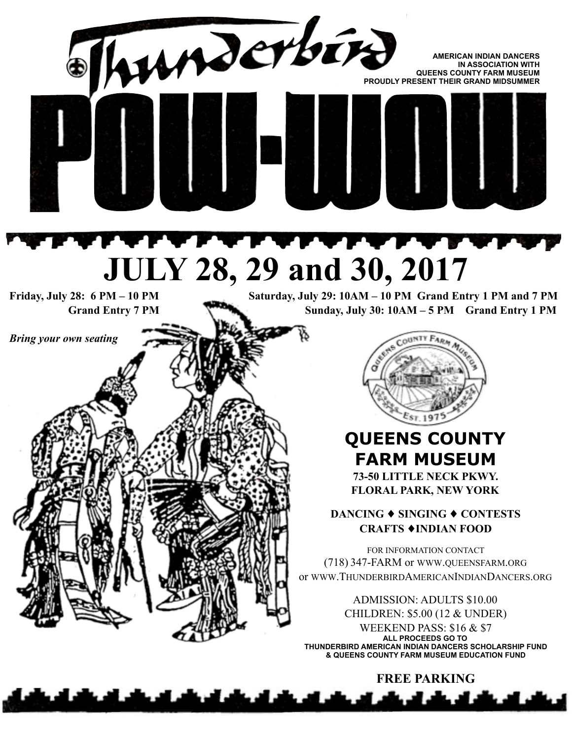

**FREE PARKING**